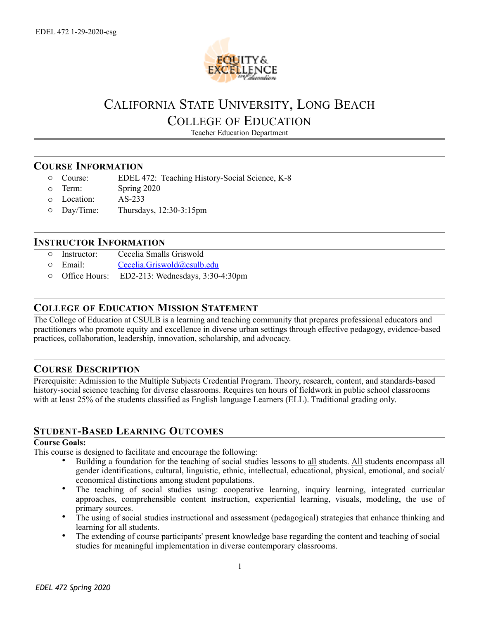

# CALIFORNIA STATE UNIVERSITY, LONG BEACH COLLEGE OF EDUCATION

Teacher Education Department

## **COURSE INFORMATION**

- o Course: EDEL 472: Teaching History-Social Science, K-8
- o Term: Spring 2020
- o Location: AS-233
- o Day/Time: Thursdays, 12:30-3:15pm

### **INSTRUCTOR INFORMATION**

- o Instructor: Cecelia Smalls Griswold
- o Email: [Cecelia.Griswold@csulb.edu](mailto:lwhitney@csulb.edu)
- o Office Hours: ED2-213: Wednesdays, 3:30-4:30pm

## **COLLEGE OF EDUCATION MISSION STATEMENT**

The College of Education at CSULB is a learning and teaching community that prepares professional educators and practitioners who promote equity and excellence in diverse urban settings through effective pedagogy, evidence-based practices, collaboration, leadership, innovation, scholarship, and advocacy.

## **COURSE DESCRIPTION**

Prerequisite: Admission to the Multiple Subjects Credential Program. Theory, research, content, and standards-based history-social science teaching for diverse classrooms. Requires ten hours of fieldwork in public school classrooms with at least 25% of the students classified as English language Learners (ELL). Traditional grading only.

## **STUDENT-BASED LEARNING OUTCOMES**

#### **Course Goals:**

This course is designed to facilitate and encourage the following:

- Building a foundation for the teaching of social studies lessons to all students. All students encompass all gender identifications, cultural, linguistic, ethnic, intellectual, educational, physical, emotional, and social/ economical distinctions among student populations.
- The teaching of social studies using: cooperative learning, inquiry learning, integrated curricular approaches, comprehensible content instruction, experiential learning, visuals, modeling, the use of primary sources.
- The using of social studies instructional and assessment (pedagogical) strategies that enhance thinking and learning for all students.
- The extending of course participants' present knowledge base regarding the content and teaching of social studies for meaningful implementation in diverse contemporary classrooms.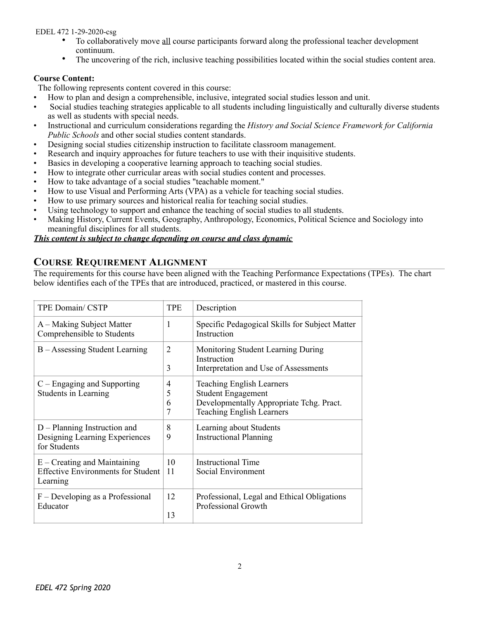EDEL 472 1-29-2020-csg

- To collaboratively move all course participants forward along the professional teacher development continuum.
- The uncovering of the rich, inclusive teaching possibilities located within the social studies content area.

#### **Course Content:**

The following represents content covered in this course:

- How to plan and design a comprehensible, inclusive, integrated social studies lesson and unit.
- Social studies teaching strategies applicable to all students including linguistically and culturally diverse students as well as students with special needs.
- Instructional and curriculum considerations regarding the *History and Social Science Framework for California Public Schools* and other social studies content standards.
- Designing social studies citizenship instruction to facilitate classroom management.
- Research and inquiry approaches for future teachers to use with their inquisitive students.
- Basics in developing a cooperative learning approach to teaching social studies.
- How to integrate other curricular areas with social studies content and processes.
- How to take advantage of a social studies "teachable moment."
- How to use Visual and Performing Arts (VPA) as a vehicle for teaching social studies.
- How to use primary sources and historical realia for teaching social studies.
- Using technology to support and enhance the teaching of social studies to all students.
- Making History, Current Events, Geography, Anthropology, Economics, Political Science and Sociology into meaningful disciplines for all students.

#### *This content is subject to change depending on course and class dynamic*

# **COURSE REQUIREMENT ALIGNMENT**

The requirements for this course have been aligned with the Teaching Performance Expectations (TPEs). The chart below identifies each of the TPEs that are introduced, practiced, or mastered in this course.

| <b>TPE Domain/CSTP</b>                                                                  | <b>TPE</b>          | Description                                                                                                                                   |
|-----------------------------------------------------------------------------------------|---------------------|-----------------------------------------------------------------------------------------------------------------------------------------------|
| A – Making Subject Matter<br>Comprehensible to Students                                 | 1                   | Specific Pedagogical Skills for Subject Matter<br>Instruction                                                                                 |
| B – Assessing Student Learning                                                          | $\overline{2}$<br>3 | Monitoring Student Learning During<br>Instruction<br>Interpretation and Use of Assessments                                                    |
| $C$ – Engaging and Supporting<br>Students in Learning                                   | 4<br>5<br>6<br>7    | <b>Teaching English Learners</b><br><b>Student Engagement</b><br>Developmentally Appropriate Tchg. Pract.<br><b>Teaching English Learners</b> |
| $D$ – Planning Instruction and<br>Designing Learning Experiences<br>for Students        | 8<br>9              | Learning about Students<br><b>Instructional Planning</b>                                                                                      |
| $E -$ Creating and Maintaining<br><b>Effective Environments for Student</b><br>Learning | 10<br>11            | <b>Instructional Time</b><br>Social Environment                                                                                               |
| $F$ – Developing as a Professional<br>Educator                                          | 12<br>13            | Professional, Legal and Ethical Obligations<br>Professional Growth                                                                            |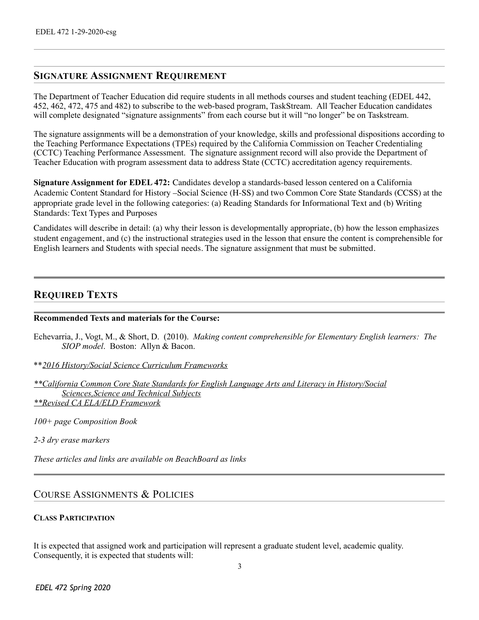## **SIGNATURE ASSIGNMENT REQUIREMENT**

The Department of Teacher Education did require students in all methods courses and student teaching (EDEL 442, 452, 462, 472, 475 and 482) to subscribe to the web-based program, TaskStream. All Teacher Education candidates will complete designated "signature assignments" from each course but it will "no longer" be on Taskstream.

The signature assignments will be a demonstration of your knowledge, skills and professional dispositions according to the Teaching Performance Expectations (TPEs) required by the California Commission on Teacher Credentialing (CCTC) Teaching Performance Assessment. The signature assignment record will also provide the Department of Teacher Education with program assessment data to address State (CCTC) accreditation agency requirements.

**Signature Assignment for EDEL 472:** Candidates develop a standards-based lesson centered on a California Academic Content Standard for History –Social Science (H-SS) and two Common Core State Standards (CCSS) at the appropriate grade level in the following categories: (a) Reading Standards for Informational Text and (b) Writing Standards: Text Types and Purposes

Candidates will describe in detail: (a) why their lesson is developmentally appropriate, (b) how the lesson emphasizes student engagement, and (c) the instructional strategies used in the lesson that ensure the content is comprehensible for English learners and Students with special needs. The signature assignment that must be submitted.

## **REQUIRED TEXTS**

#### **Recommended Texts and materials for the Course:**

Echevarria, J., Vogt, M., & Short, D. (2010). *Making content comprehensible for Elementary English learners: The SIOP model*. Boston: Allyn & Bacon.

\*\**2016 History/Social Science Curriculum Frameworks* 

*\*\*California Common Core State Standards for English Language Arts and Literacy in History/Social Sciences,Science and Technical Subjects \*\*Revised CA ELA/ELD Framework* 

*100+ page Composition Book* 

*2-3 dry erase markers* 

*These articles and links are available on BeachBoard as links*

## COURSE ASSIGNMENTS & POLICIES

#### **CLASS PARTICIPATION**

It is expected that assigned work and participation will represent a graduate student level, academic quality. Consequently, it is expected that students will:

3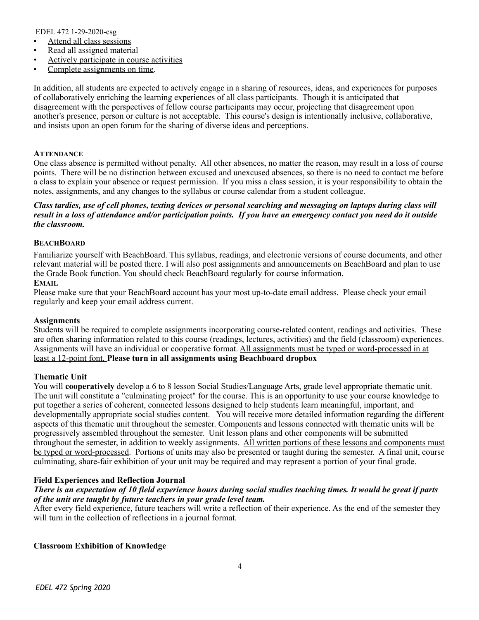EDEL 472 1-29-2020-csg

- Attend all class sessions
- Read all assigned material
- Actively participate in course activities
- Complete assignments on time.

In addition, all students are expected to actively engage in a sharing of resources, ideas, and experiences for purposes of collaboratively enriching the learning experiences of all class participants. Though it is anticipated that disagreement with the perspectives of fellow course participants may occur, projecting that disagreement upon another's presence, person or culture is not acceptable. This course's design is intentionally inclusive, collaborative, and insists upon an open forum for the sharing of diverse ideas and perceptions.

#### **ATTENDANCE**

One class absence is permitted without penalty. All other absences, no matter the reason, may result in a loss of course points. There will be no distinction between excused and unexcused absences, so there is no need to contact me before a class to explain your absence or request permission. If you miss a class session, it is your responsibility to obtain the notes, assignments, and any changes to the syllabus or course calendar from a student colleague.

#### *Class tardies, use of cell phones, texting devices or personal searching and messaging on laptops during class will result in a loss of attendance and/or participation points. If you have an emergency contact you need do it outside the classroom.*

#### **BEACHBOARD**

Familiarize yourself with BeachBoard. This syllabus, readings, and electronic versions of course documents, and other relevant material will be posted there. I will also post assignments and announcements on BeachBoard and plan to use the Grade Book function. You should check BeachBoard regularly for course information.

#### **EMAIL**

Please make sure that your BeachBoard account has your most up-to-date email address. Please check your email regularly and keep your email address current.

#### **Assignments**

Students will be required to complete assignments incorporating course-related content, readings and activities. These are often sharing information related to this course (readings, lectures, activities) and the field (classroom) experiences. Assignments will have an individual or cooperative format. All assignments must be typed or word-processed in at least a 12-point font. **Please turn in all assignments using Beachboard dropbox** 

#### **Thematic Unit**

You will **cooperatively** develop a 6 to 8 lesson Social Studies/Language Arts, grade level appropriate thematic unit. The unit will constitute a "culminating project" for the course. This is an opportunity to use your course knowledge to put together a series of coherent, connected lessons designed to help students learn meaningful, important, and developmentally appropriate social studies content. You will receive more detailed information regarding the different aspects of this thematic unit throughout the semester. Components and lessons connected with thematic units will be progressively assembled throughout the semester. Unit lesson plans and other components will be submitted throughout the semester, in addition to weekly assignments. All written portions of these lessons and components must be typed or word-processed. Portions of units may also be presented or taught during the semester. A final unit, course culminating, share-fair exhibition of your unit may be required and may represent a portion of your final grade.

#### **Field Experiences and Reflection Journal**

#### *There is an expectation of 10 field experience hours during social studies teaching times. It would be great if parts of the unit are taught by future teachers in your grade level team.*

After every field experience, future teachers will write a reflection of their experience. As the end of the semester they will turn in the collection of reflections in a journal format.

**Classroom Exhibition of Knowledge**